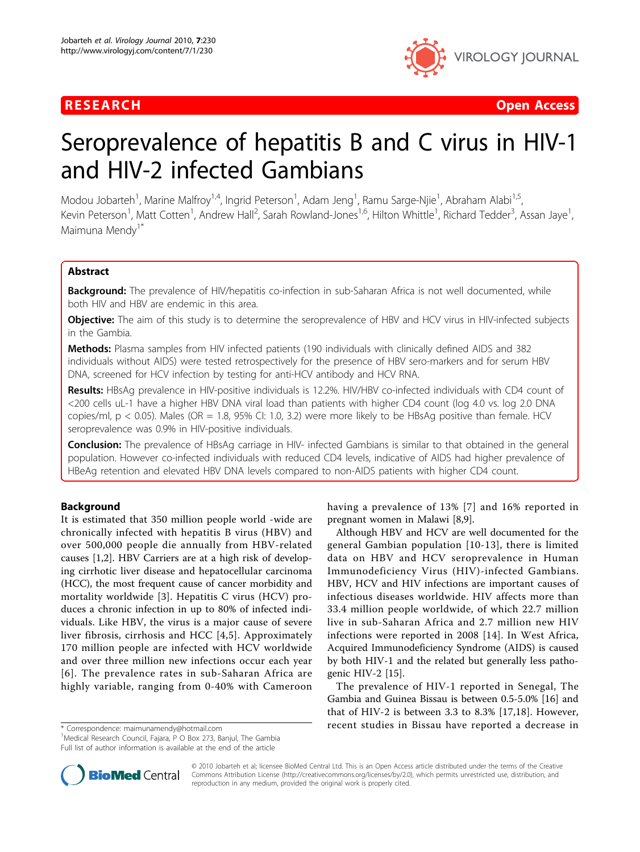

**RESEARCH Open Access** 

# Seroprevalence of hepatitis B and C virus in HIV-1 and HIV-2 infected Gambians

Modou Jobarteh<sup>1</sup>, Marine Malfroy<sup>1,4</sup>, Ingrid Peterson<sup>1</sup>, Adam Jeng<sup>1</sup>, Ramu Sarge-Njie<sup>1</sup>, Abraham Alabi<sup>1,5</sup>, Kevin Peterson<sup>1</sup>, Matt Cotten<sup>1</sup>, Andrew Hall<sup>2</sup>, Sarah Rowland-Jones<sup>1,6</sup>, Hilton Whittle<sup>1</sup>, Richard Tedder<sup>3</sup>, Assan Jaye<sup>1</sup> , Maimuna Mendy<sup>1\*</sup>

### Abstract

Background: The prevalence of HIV/hepatitis co-infection in sub-Saharan Africa is not well documented, while both HIV and HBV are endemic in this area.

Objective: The aim of this study is to determine the seroprevalence of HBV and HCV virus in HIV-infected subjects in the Gambia.

Methods: Plasma samples from HIV infected patients (190 individuals with clinically defined AIDS and 382 individuals without AIDS) were tested retrospectively for the presence of HBV sero-markers and for serum HBV DNA, screened for HCV infection by testing for anti-HCV antibody and HCV RNA.

Results: HBsAg prevalence in HIV-positive individuals is 12.2%. HIV/HBV co-infected individuals with CD4 count of <200 cells uL-1 have a higher HBV DNA viral load than patients with higher CD4 count (log 4.0 vs. log 2.0 DNA copies/ml, p < 0.05). Males (OR = 1.8, 95% CI: 1.0, 3.2) were more likely to be HBsAg positive than female. HCV seroprevalence was 0.9% in HIV-positive individuals.

Conclusion: The prevalence of HBsAg carriage in HIV- infected Gambians is similar to that obtained in the general population. However co-infected individuals with reduced CD4 levels, indicative of AIDS had higher prevalence of HBeAg retention and elevated HBV DNA levels compared to non-AIDS patients with higher CD4 count.

#### Background

It is estimated that 350 million people world -wide are chronically infected with hepatitis B virus (HBV) and over 500,000 people die annually from HBV-related causes [\[1,2](#page-6-0)]. HBV Carriers are at a high risk of developing cirrhotic liver disease and hepatocellular carcinoma (HCC), the most frequent cause of cancer morbidity and mortality worldwide [[3](#page-6-0)]. Hepatitis C virus (HCV) produces a chronic infection in up to 80% of infected individuals. Like HBV, the virus is a major cause of severe liver fibrosis, cirrhosis and HCC [[4](#page-6-0),[5\]](#page-6-0). Approximately 170 million people are infected with HCV worldwide and over three million new infections occur each year [[6\]](#page-7-0). The prevalence rates in sub-Saharan Africa are highly variable, ranging from 0-40% with Cameroon

<sup>1</sup> Medical Research Council, Fajara, P O Box 273, Banjul, The Gambia Full list of author information is available at the end of the article



Although HBV and HCV are well documented for the general Gambian population [[10-13\]](#page-7-0), there is limited data on HBV and HCV seroprevalence in Human Immunodeficiency Virus (HIV)-infected Gambians. HBV, HCV and HIV infections are important causes of infectious diseases worldwide. HIV affects more than 33.4 million people worldwide, of which 22.7 million live in sub-Saharan Africa and 2.7 million new HIV infections were reported in 2008 [[14\]](#page-7-0). In West Africa, Acquired Immunodeficiency Syndrome (AIDS) is caused by both HIV-1 and the related but generally less pathogenic HIV-2 [[15](#page-7-0)].

The prevalence of HIV-1 reported in Senegal, The Gambia and Guinea Bissau is between 0.5-5.0% [\[16](#page-7-0)] and that of HIV-2 is between 3.3 to 8.3% [[17,18](#page-7-0)]. However, \* Correspondence: [maimunamendy@hotmail.com](mailto:maimunamendy@hotmail.com) recent studies in Bissau have reported a decrease in



© 2010 Jobarteh et al; licensee BioMed Central Ltd. This is an Open Access article distributed under the terms of the Creative Commons Attribution License [\(http://creativecommons.org/licenses/by/2.0](http://creativecommons.org/licenses/by/2.0)), which permits unrestricted use, distribution, and reproduction in any medium, provided the original work is properly cited.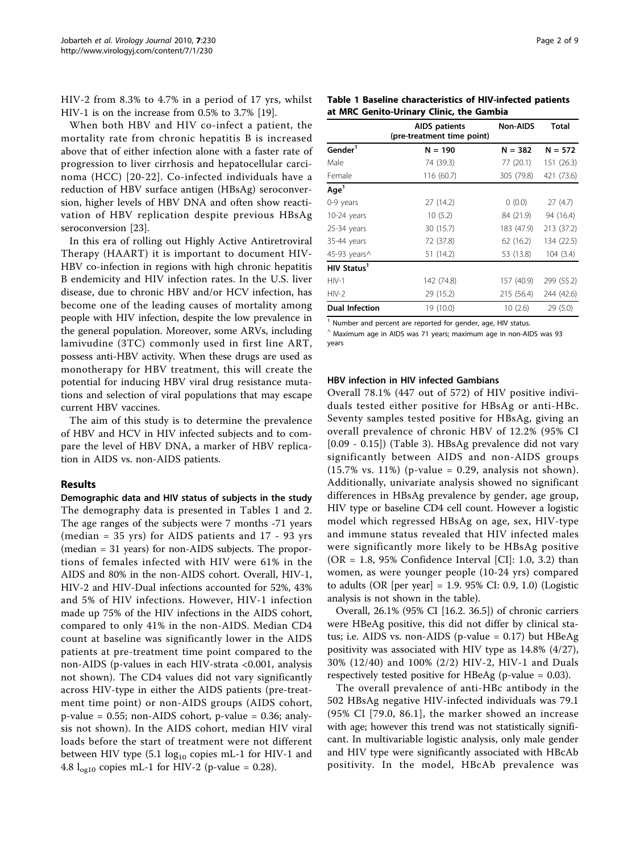HIV-2 from 8.3% to 4.7% in a period of 17 yrs, whilst HIV-1 is on the increase from 0.5% to 3.7% [[19\]](#page-7-0).

When both HBV and HIV co-infect a patient, the mortality rate from chronic hepatitis B is increased above that of either infection alone with a faster rate of progression to liver cirrhosis and hepatocellular carcinoma (HCC) [[20-22\]](#page-7-0). Co-infected individuals have a reduction of HBV surface antigen (HBsAg) seroconversion, higher levels of HBV DNA and often show reactivation of HBV replication despite previous HBsAg seroconversion [\[23\]](#page-7-0).

In this era of rolling out Highly Active Antiretroviral Therapy (HAART) it is important to document HIV-HBV co-infection in regions with high chronic hepatitis B endemicity and HIV infection rates. In the U.S. liver disease, due to chronic HBV and/or HCV infection, has become one of the leading causes of mortality among people with HIV infection, despite the low prevalence in the general population. Moreover, some ARVs, including lamivudine (3TC) commonly used in first line ART, possess anti-HBV activity. When these drugs are used as monotherapy for HBV treatment, this will create the potential for inducing HBV viral drug resistance mutations and selection of viral populations that may escape current HBV vaccines.

The aim of this study is to determine the prevalence of HBV and HCV in HIV infected subjects and to compare the level of HBV DNA, a marker of HBV replication in AIDS vs. non-AIDS patients.

#### Results

Demographic data and HIV status of subjects in the study The demography data is presented in Tables 1 and [2](#page-2-0). The age ranges of the subjects were 7 months -71 years (median = 35 yrs) for AIDS patients and 17 - 93 yrs (median = 31 years) for non-AIDS subjects. The proportions of females infected with HIV were 61% in the AIDS and 80% in the non-AIDS cohort. Overall, HIV-1, HIV-2 and HIV-Dual infections accounted for 52%, 43% and 5% of HIV infections. However, HIV-1 infection made up 75% of the HIV infections in the AIDS cohort, compared to only 41% in the non-AIDS. Median CD4 count at baseline was significantly lower in the AIDS patients at pre-treatment time point compared to the non-AIDS (p-values in each HIV-strata <0.001, analysis not shown). The CD4 values did not vary significantly across HIV-type in either the AIDS patients (pre-treatment time point) or non-AIDS groups (AIDS cohort,  $p$ -value = 0.55; non-AIDS cohort,  $p$ -value = 0.36; analysis not shown). In the AIDS cohort, median HIV viral loads before the start of treatment were not different between HIV type  $(5.1 \log_{10} \text{ copies mL-1}$  for HIV-1 and 4.8  $l_{\text{ogl0}}$  copies mL-1 for HIV-2 (p-value = 0.28).

|                         | <b>AIDS</b> patients<br>(pre-treatment time point) | Non-AIDS   | Total      |
|-------------------------|----------------------------------------------------|------------|------------|
| Gender <sup>1</sup>     | $N = 190$                                          | $N = 382$  | $N = 572$  |
| Male                    | 74 (39.3)                                          | 77 (20.1)  | 151 (26.3) |
| Female                  | 116 (60.7)                                         | 305 (79.8) | 421 (73.6) |
| Age <sup>1</sup>        |                                                    |            |            |
| 0-9 years               | 27 (14.2)                                          | (0.0)      | 27(4.7)    |
| 10-24 years             | 10(5.2)                                            | 84 (21.9)  | 94 (16.4)  |
| 25-34 years             | 30 (15.7)                                          | 183 (47.9) | 213 (37.2) |
| 35-44 years             | 72 (37.8)                                          | 62(16.2)   | 134 (22.5) |
| 45-93 years^            | 51 (14.2)                                          | 53 (13.8)  | 104(3.4)   |
| HIV Status <sup>1</sup> |                                                    |            |            |
| $HIV-1$                 | 142 (74.8)                                         | 157 (40.9) | 299 (55.2) |
| $HIV-2$                 | 29 (15.2)                                          | 215 (56.4) | 244 (42.6) |
| <b>Dual Infection</b>   | 19 (10.0)                                          | 10(2.6)    | 29(5.0)    |

<sup>1</sup> Number and percent are reported for gender, age, HIV status.

 $^{\circ}$  Maximum age in AIDS was 71 years; maximum age in non-AIDS was 93 years

#### HBV infection in HIV infected Gambians

Overall 78.1% (447 out of 572) of HIV positive individuals tested either positive for HBsAg or anti-HBc. Seventy samples tested positive for HBsAg, giving an overall prevalence of chronic HBV of 12.2% (95% CI [0.09 - 0.15]) (Table [3](#page-3-0)). HBsAg prevalence did not vary significantly between AIDS and non-AIDS groups  $(15.7\% \text{ vs. } 11\%)$  (p-value = 0.29, analysis not shown). Additionally, univariate analysis showed no significant differences in HBsAg prevalence by gender, age group, HIV type or baseline CD4 cell count. However a logistic model which regressed HBsAg on age, sex, HIV-type and immune status revealed that HIV infected males were significantly more likely to be HBsAg positive (OR = 1.8,  $95\%$  Confidence Interval [CI]: 1.0, 3.2) than women, as were younger people (10-24 yrs) compared to adults (OR [per year] = 1.9. 95% CI: 0.9, 1.0) (Logistic analysis is not shown in the table).

Overall, 26.1% (95% CI [16.2. 36.5]) of chronic carriers were HBeAg positive, this did not differ by clinical status; i.e. AIDS vs. non-AIDS (p-value = 0.17) but HBeAg positivity was associated with HIV type as 14.8% (4/27), 30% (12/40) and 100% (2/2) HIV-2, HIV-1 and Duals respectively tested positive for HBeAg (p-value = 0.03).

The overall prevalence of anti-HBc antibody in the 502 HBsAg negative HIV-infected individuals was 79.1 (95% CI [79.0, 86.1], the marker showed an increase with age; however this trend was not statistically significant. In multivariable logistic analysis, only male gender and HIV type were significantly associated with HBcAb positivity. In the model, HBcAb prevalence was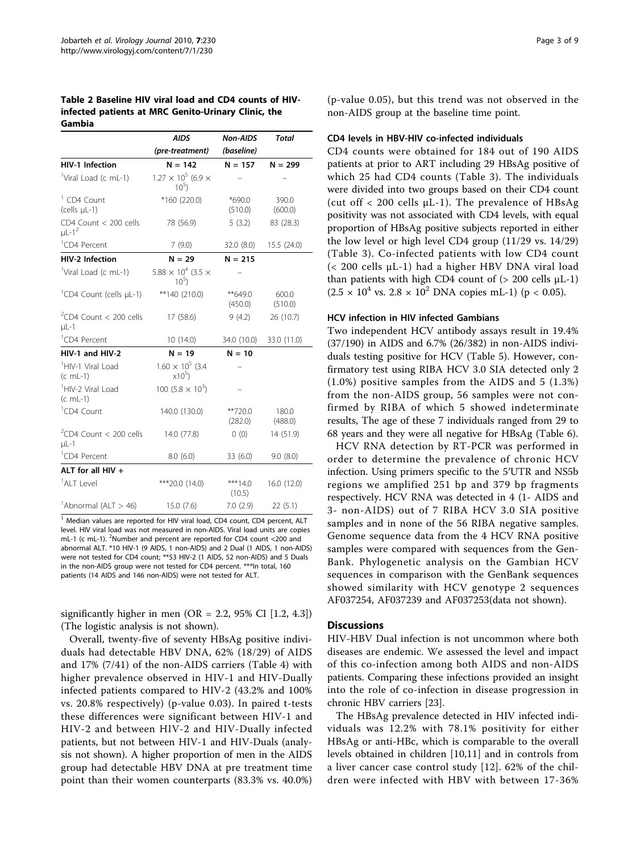<span id="page-2-0"></span>Table 2 Baseline HIV viral load and CD4 counts of HIVinfected patients at MRC Genito-Urinary Clinic, the Gambia

|                                                 | <b>AIDS</b>                                  | <b>Non-AIDS</b>      | <b>Total</b>     |
|-------------------------------------------------|----------------------------------------------|----------------------|------------------|
|                                                 | (pre-treatment)                              | (baseline)           |                  |
| HIV-1 Infection                                 | $N = 142$                                    | $N = 157$            | $N = 299$        |
| <sup>1</sup> Viral Load (c mL-1)                | $1.27 \times 10^5$ (6.9 $\times$<br>$10^{5}$ |                      |                  |
| <sup>1</sup> CD4 Count<br>(cells µL-1)          | $*160(220.0)$                                | *690.0<br>(510.0)    | 390.0<br>(600.0) |
| CD4 Count < 200 cells<br>$\mu$ L-1 <sup>2</sup> | 78 (56.9)                                    | 5(3.2)               | 83 (28.3)        |
| <sup>1</sup> CD4 Percent                        | 7(9.0)                                       | 32.0 (8.0)           | 15.5 (24.0)      |
| HIV-2 Infection                                 | $N = 29$                                     | $N = 215$            |                  |
| <sup>1</sup> Viral Load (c mL-1)                | $5.88 \times 10^4$ (3.5 $\times$<br>$10^{5}$ |                      |                  |
| <sup>1</sup> CD4 Count (cells µL-1)             | $**140(210.0)$                               | $*$ 649.0<br>(450.0) | 600.0<br>(510.0) |
| <sup>2</sup> CD4 Count < 200 cells<br>$\mu$ L-1 | 17(58.6)                                     | 9(4.2)               | 26 (10.7)        |
| <sup>1</sup> CD4 Percent                        | 10(14.0)                                     | 34.0 (10.0)          | 33.0 (11.0)      |
| HIV-1 and HIV-2                                 | $N = 19$                                     | $N = 10$             |                  |
| <sup>1</sup> HIV-1 Viral Load<br>$(c \ mL-1)$   | $1.60 \times 10^5$ (3.4<br>$x10^5$ )         |                      |                  |
| <sup>1</sup> HIV-2 Viral Load<br>$(c \ mL-1)$   | 100 $(5.8 \times 10^3)$                      |                      |                  |
| <sup>1</sup> CD4 Count                          | 140.0 (130.0)                                | **720.0<br>(282.0)   | 180.0<br>(488.0) |
| $2$ CD4 Count < 200 cells<br>$\mu$ L-1          | 14.0 (77.8)                                  | (0)                  | 14 (51.9)        |
| <sup>1</sup> CD4 Percent                        | 8.0(6.0)                                     | 33(6.0)              | 9.0(8.0)         |
| ALT for all $HIV +$                             |                                              |                      |                  |
| <sup>1</sup> ALT Level                          | ***20.0 (14.0)                               | *** $14.0$<br>(10.5) | 16.0 (12.0)      |
| <sup>1</sup> Abnormal (ALT > 46)                | 15.0(7.6)                                    | 7.0(2.9)             | 22(5.1)          |

 $1$  Median values are reported for HIV viral load, CD4 count, CD4 percent, ALT level. HIV viral load was not measured in non-AIDS. Viral load units are copies mL-1 (c mL-1). <sup>2</sup>Number and percent are reported for CD4 count <200 and abnormal ALT. \*10 HIV-1 (9 AIDS, 1 non-AIDS) and 2 Dual (1 AIDS, 1 non-AIDS) were not tested for CD4 count; \*\*53 HIV-2 (1 AIDS, 52 non-AIDS) and 5 Duals in the non-AIDS group were not tested for CD4 percent. \*\*\* In total, 160 patients (14 AIDS and 146 non-AIDS) were not tested for ALT.

significantly higher in men (OR = 2.2, 95% CI [1.2, 4.3]) (The logistic analysis is not shown).

Overall, twenty-five of seventy HBsAg positive individuals had detectable HBV DNA, 62% (18/29) of AIDS and 17% (7/41) of the non-AIDS carriers (Table [4](#page-4-0)) with higher prevalence observed in HIV-1 and HIV-Dually infected patients compared to HIV-2 (43.2% and 100% vs. 20.8% respectively) (p-value 0.03). In paired t-tests these differences were significant between HIV-1 and HIV-2 and between HIV-2 and HIV-Dually infected patients, but not between HIV-1 and HIV-Duals (analysis not shown). A higher proportion of men in the AIDS group had detectable HBV DNA at pre treatment time point than their women counterparts (83.3% vs. 40.0%)

(p-value 0.05), but this trend was not observed in the non-AIDS group at the baseline time point.

#### CD4 levels in HBV-HIV co-infected individuals

CD4 counts were obtained for 184 out of 190 AIDS patients at prior to ART including 29 HBsAg positive of which 25 had CD4 counts (Table [3\)](#page-3-0). The individuals were divided into two groups based on their CD4 count (cut off  $\langle$  200 cells  $\mu$ L-1). The prevalence of HBsAg positivity was not associated with CD4 levels, with equal proportion of HBsAg positive subjects reported in either the low level or high level CD4 group (11/29 vs. 14/29) (Table [3](#page-3-0)). Co-infected patients with low CD4 count (< 200 cells μL-1) had a higher HBV DNA viral load than patients with high CD4 count of  $(> 200 \text{ cells } \mu L-1)$  $(2.5 \times 10^4 \text{ vs. } 2.8 \times 10^2 \text{ DNA copies mL-1})$  (p < 0.05).

#### HCV infection in HIV infected Gambians

Two independent HCV antibody assays result in 19.4% (37/190) in AIDS and 6.7% (26/382) in non-AIDS individuals testing positive for HCV (Table [5](#page-4-0)). However, confirmatory test using RIBA HCV 3.0 SIA detected only 2 (1.0%) positive samples from the AIDS and 5 (1.3%) from the non-AIDS group, 56 samples were not confirmed by RIBA of which 5 showed indeterminate results, The age of these 7 individuals ranged from 29 to 68 years and they were all negative for HBsAg (Table [6\)](#page-5-0).

HCV RNA detection by RT-PCR was performed in order to determine the prevalence of chronic HCV infection. Using primers specific to the 5′UTR and NS5b regions we amplified 251 bp and 379 bp fragments respectively. HCV RNA was detected in 4 (1- AIDS and 3- non-AIDS) out of 7 RIBA HCV 3.0 SIA positive samples and in none of the 56 RIBA negative samples. Genome sequence data from the 4 HCV RNA positive samples were compared with sequences from the Gen-Bank. Phylogenetic analysis on the Gambian HCV sequences in comparison with the GenBank sequences showed similarity with HCV genotype 2 sequences AF037254, AF037239 and AF037253(data not shown).

#### **Discussions**

HIV-HBV Dual infection is not uncommon where both diseases are endemic. We assessed the level and impact of this co-infection among both AIDS and non-AIDS patients. Comparing these infections provided an insight into the role of co-infection in disease progression in chronic HBV carriers [[23\]](#page-7-0).

The HBsAg prevalence detected in HIV infected individuals was 12.2% with 78.1% positivity for either HBsAg or anti-HBc, which is comparable to the overall levels obtained in children [\[10](#page-7-0),[11\]](#page-7-0) and in controls from a liver cancer case control study [[12\]](#page-7-0). 62% of the children were infected with HBV with between 17-36%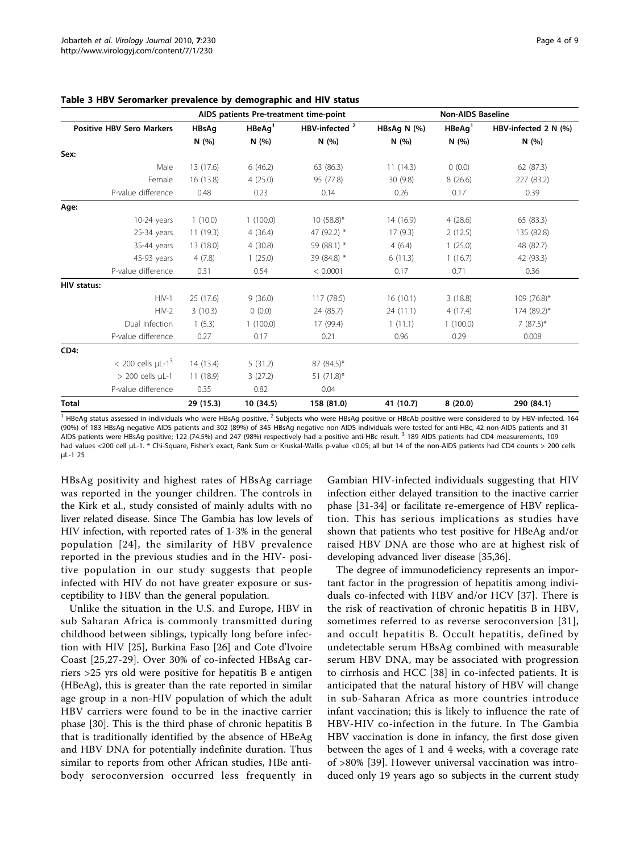| AIDS patients Pre-treatment time-point |              |                    | <b>Non-AIDS Baseline</b>  |             |                    |                      |
|----------------------------------------|--------------|--------------------|---------------------------|-------------|--------------------|----------------------|
| <b>Positive HBV Sero Markers</b>       | <b>HBsAg</b> | HBeAq <sup>1</sup> | HBV-infected <sup>2</sup> | HBsAg N (%) | HBeAq <sup>1</sup> | HBV-infected 2 N (%) |
|                                        | N(%)         | N(%)               | N(%)                      | N(%)        | N(%)               | N(%)                 |
| Sex:                                   |              |                    |                           |             |                    |                      |
| Male                                   | 13 (17.6)    | 6(46.2)            | 63 (86.3)                 | 11(14.3)    | 0(0.0)             | 62 (87.3)            |
| Female                                 | 16 (13.8)    | 4(25.0)            | 95 (77.8)                 | 30 (9.8)    | 8(26.6)            | 227 (83.2)           |
| P-value difference                     | 0.48         | 0.23               | 0.14                      | 0.26        | 0.17               | 0.39                 |
| Age:                                   |              |                    |                           |             |                    |                      |
| $10-24$ years                          | 1(10.0)      | 1(100.0)           | $10(58.8)^*$              | 14 (16.9)   | 4(28.6)            | 65 (83.3)            |
| 25-34 years                            | 11(19.3)     | 4(36.4)            | 47 (92.2) *               | 17(9.3)     | 2(12.5)            | 135 (82.8)           |
| 35-44 years                            | 13 (18.0)    | 4(30.8)            | 59 (88.1) *               | 4(6.4)      | 1(25.0)            | 48 (82.7)            |
| 45-93 years                            | 4(7.8)       | 1(25.0)            | 39 (84.8) *               | 6(11.3)     | 1(16.7)            | 42 (93.3)            |
| P-value difference                     | 0.31         | 0.54               | < 0.0001                  | 0.17        | 0.71               | 0.36                 |
| <b>HIV status:</b>                     |              |                    |                           |             |                    |                      |
| $HIV-1$                                | 25 (17.6)    | 9(36.0)            | 117 (78.5)                | 16(10.1)    | 3(18.8)            | 109 (76.8)*          |
| $HIV-2$                                | 3(10.3)      | 0(0.0)             | 24 (85.7)                 | 24(11.1)    | 4(17.4)            | 174 (89.2)*          |
| Dual Infection                         | 1(5.3)       | 1(100.0)           | 17 (99.4)                 | 1(11.1)     | 1(100.0)           | $7(87.5)^*$          |
| P-value difference                     | 0.27         | 0.17               | 0.21                      | 0.96        | 0.29               | 0.008                |
| CD4:                                   |              |                    |                           |             |                    |                      |
| $<$ 200 cells $\mu$ L-1 <sup>3</sup>   | 14(13.4)     | 5(31.2)            | 87 (84.5)*                |             |                    |                      |
| $> 200$ cells $\mu$ L-1                | 11(18.9)     | 3(27.2)            | 51 $(71.8)^*$             |             |                    |                      |
| P-value difference                     | 0.35         | 0.82               | 0.04                      |             |                    |                      |
| <b>Total</b>                           | 29 (15.3)    | 10 (34.5)          | 158 (81.0)                | 41 (10.7)   | 8(20.0)            | 290 (84.1)           |

<span id="page-3-0"></span>Table 3 HBV Seromarker prevalence by demographic and HIV status

<sup>1</sup> HBeAg status assessed in individuals who were HBsAg positive, <sup>2</sup> Subjects who were HBsAg positive or HBcAb positive were considered to by HBV-infected. 164 (90%) of 183 HBsAg negative AIDS patients and 302 (89%) of 345 HBsAg negative non-AIDS individuals were tested for anti-HBc, 42 non-AIDS patients and 31 AIDS patients were HBsAg positive; 122 (74.5%) and 247 (98%) respectively had a positive anti-HBc result. <sup>3</sup> 189 AIDS patients had CD4 measurements, 109 had values <200 cell μL-1. \* Chi-Square, Fisher's exact, Rank Sum or Kruskal-Wallis p-value <0.05; all but 14 of the non-AIDS patients had CD4 counts > 200 cells μL-1 25

HBsAg positivity and highest rates of HBsAg carriage was reported in the younger children. The controls in the Kirk et al., study consisted of mainly adults with no liver related disease. Since The Gambia has low levels of HIV infection, with reported rates of 1-3% in the general population [[24\]](#page-7-0), the similarity of HBV prevalence reported in the previous studies and in the HIV- positive population in our study suggests that people infected with HIV do not have greater exposure or susceptibility to HBV than the general population.

Unlike the situation in the U.S. and Europe, HBV in sub Saharan Africa is commonly transmitted during childhood between siblings, typically long before infection with HIV [\[25](#page-7-0)], Burkina Faso [[26\]](#page-7-0) and Cote d'Ivoire Coast [\[25,27](#page-7-0)-[29\]](#page-7-0). Over 30% of co-infected HBsAg carriers >25 yrs old were positive for hepatitis B e antigen (HBeAg), this is greater than the rate reported in similar age group in a non-HIV population of which the adult HBV carriers were found to be in the inactive carrier phase [\[30\]](#page-7-0). This is the third phase of chronic hepatitis B that is traditionally identified by the absence of HBeAg and HBV DNA for potentially indefinite duration. Thus similar to reports from other African studies, HBe antibody seroconversion occurred less frequently in

Gambian HIV-infected individuals suggesting that HIV infection either delayed transition to the inactive carrier phase [\[31](#page-7-0)-[34\]](#page-7-0) or facilitate re-emergence of HBV replication. This has serious implications as studies have shown that patients who test positive for HBeAg and/or raised HBV DNA are those who are at highest risk of developing advanced liver disease [\[35,36](#page-7-0)].

The degree of immunodeficiency represents an important factor in the progression of hepatitis among individuals co-infected with HBV and/or HCV [[37\]](#page-7-0). There is the risk of reactivation of chronic hepatitis B in HBV, sometimes referred to as reverse seroconversion [[31](#page-7-0)], and occult hepatitis B. Occult hepatitis, defined by undetectable serum HBsAg combined with measurable serum HBV DNA, may be associated with progression to cirrhosis and HCC [\[38\]](#page-7-0) in co-infected patients. It is anticipated that the natural history of HBV will change in sub-Saharan Africa as more countries introduce infant vaccination; this is likely to influence the rate of HBV-HIV co-infection in the future. In The Gambia HBV vaccination is done in infancy, the first dose given between the ages of 1 and 4 weeks, with a coverage rate of >80% [\[39](#page-7-0)]. However universal vaccination was introduced only 19 years ago so subjects in the current study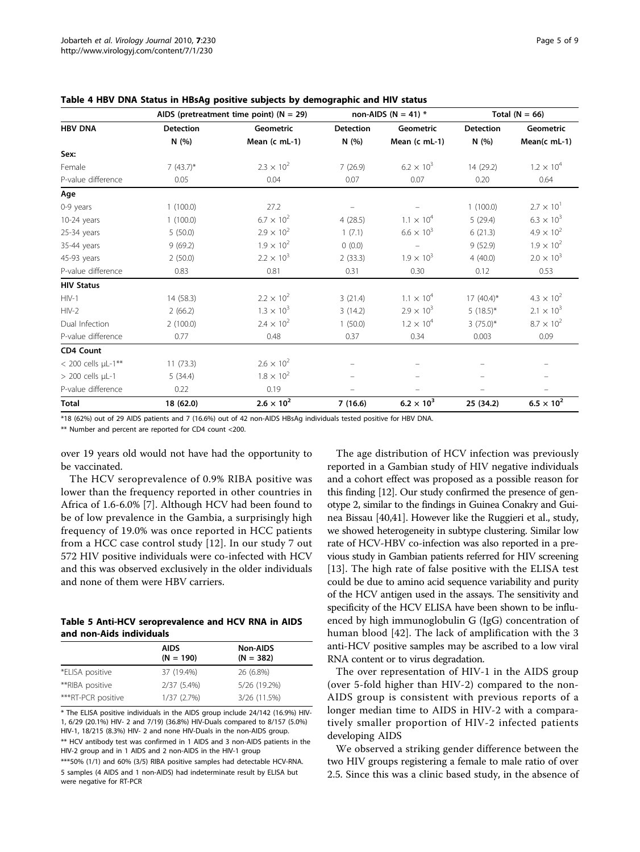|                           | AIDS (pretreatment time point) ( $N = 29$ ) |                     | non-AIDS ( $N = 41$ ) * |                     | Total ( $N = 66$ ) |                     |
|---------------------------|---------------------------------------------|---------------------|-------------------------|---------------------|--------------------|---------------------|
| <b>HBV DNA</b>            | <b>Detection</b>                            | <b>Geometric</b>    | <b>Detection</b>        | Geometric           | <b>Detection</b>   | <b>Geometric</b>    |
|                           | N(%)                                        | Mean (c mL-1)       | N(%)                    | Mean (c mL-1)       | N(%)               | Mean(c mL-1)        |
| Sex:                      |                                             |                     |                         |                     |                    |                     |
| Female                    | $7(43.7)^{*}$                               | $2.3 \times 10^{2}$ | 7(26.9)                 | $6.2 \times 10^{3}$ | 14 (29.2)          | $1.2 \times 10^{4}$ |
| P-value difference        | 0.05                                        | 0.04                | 0.07                    | 0.07                | 0.20               | 0.64                |
| Age                       |                                             |                     |                         |                     |                    |                     |
| 0-9 years                 | 1(100.0)                                    | 27.2                |                         |                     | 1(100.0)           | $2.7 \times 10^{1}$ |
| 10-24 years               | 1(100.0)                                    | $6.7 \times 10^{2}$ | 4(28.5)                 | $1.1 \times 10^{4}$ | 5(29.4)            | $6.3 \times 10^{3}$ |
| 25-34 years               | 5(50.0)                                     | $2.9 \times 10^{2}$ | 1(7.1)                  | $6.6 \times 10^{3}$ | 6(21.3)            | $4.9 \times 10^{2}$ |
| 35-44 years               | 9(69.2)                                     | $1.9 \times 10^{2}$ | 0(0.0)                  |                     | 9(52.9)            | $1.9 \times 10^{2}$ |
| 45-93 years               | 2(50.0)                                     | $2.2 \times 10^{3}$ | 2(33.3)                 | $1.9 \times 10^{3}$ | 4(40.0)            | $2.0 \times 10^{3}$ |
| P-value difference        | 0.83                                        | 0.81                | 0.31                    | 0.30                | 0.12               | 0.53                |
| <b>HIV Status</b>         |                                             |                     |                         |                     |                    |                     |
| $HIV-1$                   | 14(58.3)                                    | $2.2 \times 10^{2}$ | 3(21.4)                 | $1.1 \times 10^{4}$ | $17(40.4)$ *       | $4.3 \times 10^{2}$ |
| $HIV-2$                   | 2(66.2)                                     | $1.3 \times 10^{3}$ | 3(14.2)                 | $2.9 \times 10^{3}$ | $5(18.5)^{*}$      | $2.1 \times 10^{3}$ |
| Dual Infection            | 2(100.0)                                    | $2.4 \times 10^{2}$ | 1(50.0)                 | $1.2 \times 10^{4}$ | $3(75.0)$ *        | $8.7 \times 10^{2}$ |
| P-value difference        | 0.77                                        | 0.48                | 0.37                    | 0.34                | 0.003              | 0.09                |
| <b>CD4 Count</b>          |                                             |                     |                         |                     |                    |                     |
| $< 200$ cells $\mu$ L-1** | 11(73.3)                                    | $2.6 \times 10^{2}$ |                         |                     |                    |                     |
| $> 200$ cells $\mu$ L-1   | 5(34.4)                                     | $1.8 \times 10^{2}$ |                         |                     |                    |                     |
| P-value difference        | 0.22                                        | 0.19                |                         |                     |                    |                     |
| <b>Total</b>              | 18 (62.0)                                   | $2.6 \times 10^{2}$ | 7(16.6)                 | $6.2 \times 10^{3}$ | 25 (34.2)          | $6.5 \times 10^{2}$ |

<span id="page-4-0"></span>Table 4 HBV DNA Status in HBsAg positive subjects by demographic and HIV status

\*18 (62%) out of 29 AIDS patients and 7 (16.6%) out of 42 non-AIDS HBsAg individuals tested positive for HBV DNA.

\*\* Number and percent are reported for CD4 count <200.

over 19 years old would not have had the opportunity to be vaccinated.

The HCV seroprevalence of 0.9% RIBA positive was lower than the frequency reported in other countries in Africa of 1.6-6.0% [\[7](#page-7-0)]. Although HCV had been found to be of low prevalence in the Gambia, a surprisingly high frequency of 19.0% was once reported in HCC patients from a HCC case control study [[12\]](#page-7-0). In our study 7 out 572 HIV positive individuals were co-infected with HCV and this was observed exclusively in the older individuals and none of them were HBV carriers.

#### Table 5 Anti-HCV seroprevalence and HCV RNA in AIDS and non-Aids individuals

|                    | <b>AIDS</b><br>$(N = 190)$ | <b>Non-AIDS</b><br>$(N = 382)$ |
|--------------------|----------------------------|--------------------------------|
| *ELISA positive    | 37 (19.4%)                 | 26 (6.8%)                      |
| **RIBA positive    | 2/37 (5.4%)                | 5/26 (19.2%)                   |
| ***RT-PCR positive | 1/37(2.7%)                 | 3/26 (11.5%)                   |

\* The ELISA positive individuals in the AIDS group include 24/142 (16.9%) HIV-1, 6/29 (20.1%) HIV- 2 and 7/19) (36.8%) HIV-Duals compared to 8/157 (5.0%) HIV-1, 18/215 (8.3%) HIV- 2 and none HIV-Duals in the non-AIDS group. \*\* HCV antibody test was confirmed in 1 AIDS and 3 non-AIDS patients in the HIV-2 group and in 1 AIDS and 2 non-AIDS in the HIV-1 group

\*\*\*50% (1/1) and 60% (3/5) RIBA positive samples had detectable HCV-RNA. 5 samples (4 AIDS and 1 non-AIDS) had indeterminate result by ELISA but were negative for RT-PCR

The age distribution of HCV infection was previously reported in a Gambian study of HIV negative individuals and a cohort effect was proposed as a possible reason for this finding [\[12\]](#page-7-0). Our study confirmed the presence of genotype 2, similar to the findings in Guinea Conakry and Guinea Bissau [[40,41](#page-7-0)]. However like the Ruggieri et al., study, we showed heterogeneity in subtype clustering. Similar low rate of HCV-HBV co-infection was also reported in a previous study in Gambian patients referred for HIV screening [[13](#page-7-0)]. The high rate of false positive with the ELISA test could be due to amino acid sequence variability and purity of the HCV antigen used in the assays. The sensitivity and specificity of the HCV ELISA have been shown to be influenced by high immunoglobulin G (IgG) concentration of human blood [\[42\]](#page-7-0). The lack of amplification with the 3 anti-HCV positive samples may be ascribed to a low viral RNA content or to virus degradation.

The over representation of HIV-1 in the AIDS group (over 5-fold higher than HIV-2) compared to the non-AIDS group is consistent with previous reports of a longer median time to AIDS in HIV-2 with a comparatively smaller proportion of HIV-2 infected patients developing AIDS

We observed a striking gender difference between the two HIV groups registering a female to male ratio of over 2.5. Since this was a clinic based study, in the absence of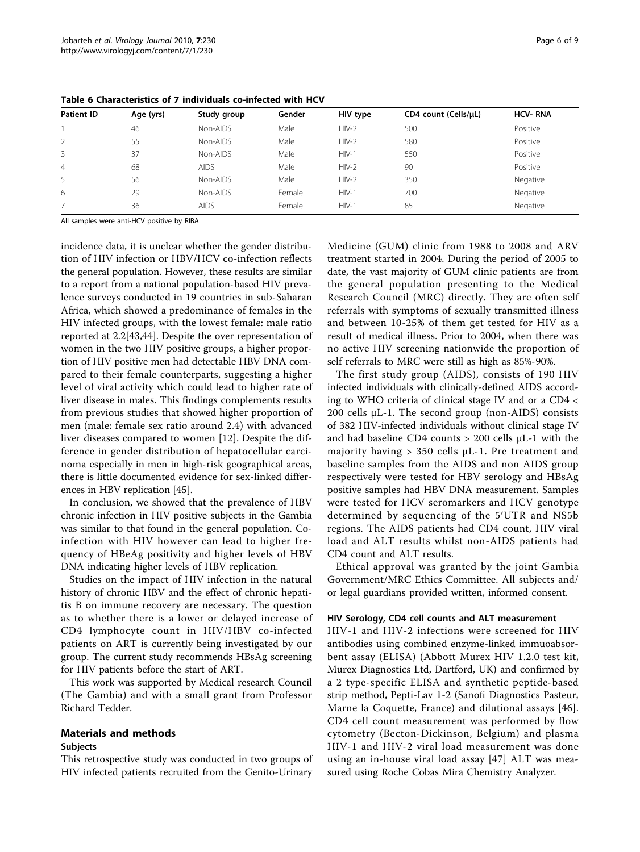| <b>Patient ID</b> | Age (yrs) | Study group | Gender | HIV type | CD4 count (Cells/uL) | <b>HCV-RNA</b> |
|-------------------|-----------|-------------|--------|----------|----------------------|----------------|
|                   | 46        | Non-AIDS    | Male   | $HIV-2$  | 500                  | Positive       |
|                   | 55        | Non-AIDS    | Male   | $HIV-2$  | 580                  | Positive       |
| 3                 | 37        | Non-AIDS    | Male   | $HIV-1$  | 550                  | Positive       |
| $\overline{4}$    | 68        | <b>AIDS</b> | Male   | $HIV-2$  | 90                   | Positive       |
| 5                 | 56        | Non-AIDS    | Male   | $HIV-2$  | 350                  | Negative       |
| 6                 | 29        | Non-AIDS    | Female | $HIV-1$  | 700                  | Negative       |
|                   | 36        | <b>AIDS</b> | Female | $HIV-1$  | 85                   | Negative       |

<span id="page-5-0"></span>Table 6 Characteristics of 7 individuals co-infected with HCV

All samples were anti-HCV positive by RIBA

incidence data, it is unclear whether the gender distribution of HIV infection or HBV/HCV co-infection reflects the general population. However, these results are similar to a report from a national population-based HIV prevalence surveys conducted in 19 countries in sub-Saharan Africa, which showed a predominance of females in the HIV infected groups, with the lowest female: male ratio reported at 2.2[\[43,44](#page-7-0)]. Despite the over representation of women in the two HIV positive groups, a higher proportion of HIV positive men had detectable HBV DNA compared to their female counterparts, suggesting a higher level of viral activity which could lead to higher rate of liver disease in males. This findings complements results from previous studies that showed higher proportion of men (male: female sex ratio around 2.4) with advanced liver diseases compared to women [[12\]](#page-7-0). Despite the difference in gender distribution of hepatocellular carcinoma especially in men in high-risk geographical areas, there is little documented evidence for sex-linked differences in HBV replication [\[45\]](#page-7-0).

In conclusion, we showed that the prevalence of HBV chronic infection in HIV positive subjects in the Gambia was similar to that found in the general population. Coinfection with HIV however can lead to higher frequency of HBeAg positivity and higher levels of HBV DNA indicating higher levels of HBV replication.

Studies on the impact of HIV infection in the natural history of chronic HBV and the effect of chronic hepatitis B on immune recovery are necessary. The question as to whether there is a lower or delayed increase of CD4 lymphocyte count in HIV/HBV co-infected patients on ART is currently being investigated by our group. The current study recommends HBsAg screening for HIV patients before the start of ART.

This work was supported by Medical research Council (The Gambia) and with a small grant from Professor Richard Tedder.

## Materials and methods

#### Subjects

This retrospective study was conducted in two groups of HIV infected patients recruited from the Genito-Urinary Medicine (GUM) clinic from 1988 to 2008 and ARV treatment started in 2004. During the period of 2005 to date, the vast majority of GUM clinic patients are from the general population presenting to the Medical Research Council (MRC) directly. They are often self referrals with symptoms of sexually transmitted illness and between 10-25% of them get tested for HIV as a result of medical illness. Prior to 2004, when there was no active HIV screening nationwide the proportion of self referrals to MRC were still as high as 85%-90%.

The first study group (AIDS), consists of 190 HIV infected individuals with clinically-defined AIDS according to WHO criteria of clinical stage IV and or a CD4 < 200 cells μL-1. The second group (non-AIDS) consists of 382 HIV-infected individuals without clinical stage IV and had baseline CD4 counts > 200 cells μL-1 with the majority having  $> 350$  cells  $\mu$ L-1. Pre treatment and baseline samples from the AIDS and non AIDS group respectively were tested for HBV serology and HBsAg positive samples had HBV DNA measurement. Samples were tested for HCV seromarkers and HCV genotype determined by sequencing of the 5′UTR and NS5b regions. The AIDS patients had CD4 count, HIV viral load and ALT results whilst non-AIDS patients had CD4 count and ALT results.

Ethical approval was granted by the joint Gambia Government/MRC Ethics Committee. All subjects and/ or legal guardians provided written, informed consent.

#### HIV Serology, CD4 cell counts and ALT measurement

HIV-1 and HIV-2 infections were screened for HIV antibodies using combined enzyme-linked immuoabsorbent assay (ELISA) (Abbott Murex HIV 1.2.0 test kit, Murex Diagnostics Ltd, Dartford, UK) and confirmed by a 2 type-specific ELISA and synthetic peptide-based strip method, Pepti-Lav 1-2 (Sanofi Diagnostics Pasteur, Marne la Coquette, France) and dilutional assays [[46](#page-7-0)]. CD4 cell count measurement was performed by flow cytometry (Becton-Dickinson, Belgium) and plasma HIV-1 and HIV-2 viral load measurement was done using an in-house viral load assay [[47](#page-8-0)] ALT was measured using Roche Cobas Mira Chemistry Analyzer.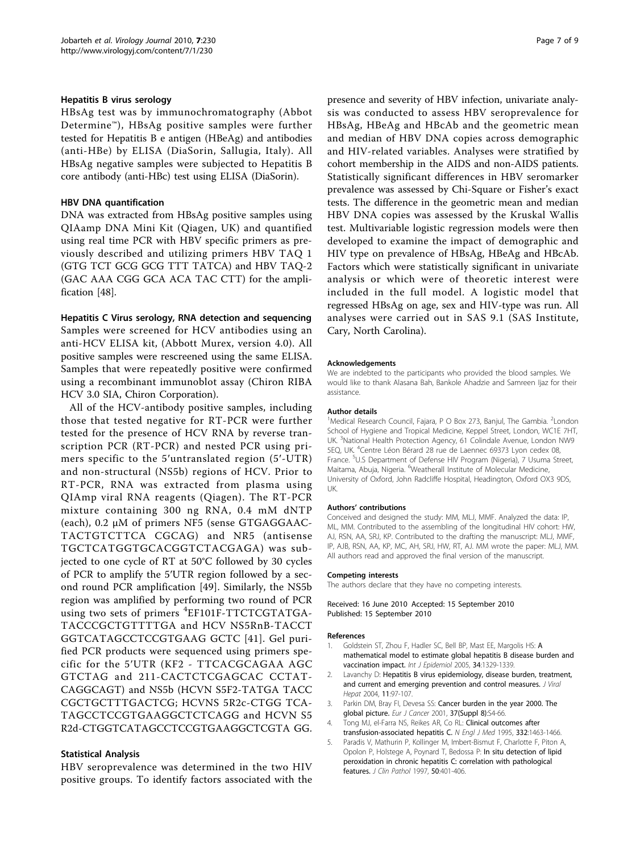#### <span id="page-6-0"></span>Hepatitis B virus serology

HBsAg test was by immunochromatography (Abbot Determine™), HBsAg positive samples were further tested for Hepatitis B e antigen (HBeAg) and antibodies (anti-HBe) by ELISA (DiaSorin, Sallugia, Italy). All HBsAg negative samples were subjected to Hepatitis B core antibody (anti-HBc) test using ELISA (DiaSorin).

#### HBV DNA quantification

DNA was extracted from HBsAg positive samples using QIAamp DNA Mini Kit (Qiagen, UK) and quantified using real time PCR with HBV specific primers as previously described and utilizing primers HBV TAQ 1 (GTG TCT GCG GCG TTT TATCA) and HBV TAQ-2 (GAC AAA CGG GCA ACA TAC CTT) for the amplification [\[48](#page-8-0)].

#### Hepatitis C Virus serology, RNA detection and sequencing Samples were screened for HCV antibodies using an

anti-HCV ELISA kit, (Abbott Murex, version 4.0). All positive samples were rescreened using the same ELISA. Samples that were repeatedly positive were confirmed using a recombinant immunoblot assay (Chiron RIBA HCV 3.0 SIA, Chiron Corporation).

All of the HCV-antibody positive samples, including those that tested negative for RT-PCR were further tested for the presence of HCV RNA by reverse transcription PCR (RT-PCR) and nested PCR using primers specific to the 5′untranslated region (5′-UTR) and non-structural (NS5b) regions of HCV. Prior to RT-PCR, RNA was extracted from plasma using QIAmp viral RNA reagents (Qiagen). The RT-PCR mixture containing 300 ng RNA, 0.4 mM dNTP (each), 0.2 μM of primers NF5 (sense GTGAGGAAC-TACTGTCTTCA CGCAG) and NR5 (antisense TGCTCATGGTGCACGGTCTACGAGA) was subjected to one cycle of RT at 50°C followed by 30 cycles of PCR to amplify the 5′UTR region followed by a second round PCR amplification [[49](#page-8-0)]. Similarly, the NS5b region was amplified by performing two round of PCR using two sets of primers <sup>4</sup>EF101F-TTCTCGTATGA-TACCCGCTGTTTTGA and HCV NS5RnB-TACCT GGTCATAGCCTCCGTGAAG GCTC [[41](#page-7-0)]. Gel purified PCR products were sequenced using primers specific for the 5′UTR (KF2 - TTCACGCAGAA AGC GTCTAG and 211-CACTCTCGAGCAC CCTAT-CAGGCAGT) and NS5b (HCVN S5F2-TATGA TACC CGCTGCTTTGACTCG; HCVNS 5R2c-CTGG TCA-TAGCCTCCGTGAAGGCTCTCAGG and HCVN S5 R2d-CTGGTCATAGCCTCCGTGAAGGCTCGTA GG.

#### Statistical Analysis

HBV seroprevalence was determined in the two HIV positive groups. To identify factors associated with the presence and severity of HBV infection, univariate analysis was conducted to assess HBV seroprevalence for HBsAg, HBeAg and HBcAb and the geometric mean and median of HBV DNA copies across demographic and HIV-related variables. Analyses were stratified by cohort membership in the AIDS and non-AIDS patients. Statistically significant differences in HBV seromarker prevalence was assessed by Chi-Square or Fisher's exact tests. The difference in the geometric mean and median HBV DNA copies was assessed by the Kruskal Wallis test. Multivariable logistic regression models were then developed to examine the impact of demographic and HIV type on prevalence of HBsAg, HBeAg and HBcAb. Factors which were statistically significant in univariate analysis or which were of theoretic interest were included in the full model. A logistic model that regressed HBsAg on age, sex and HIV-type was run. All analyses were carried out in SAS 9.1 (SAS Institute, Cary, North Carolina).

#### Acknowledgements

We are indebted to the participants who provided the blood samples. We would like to thank Alasana Bah, Bankole Ahadzie and Samreen Ijaz for their assistance.

#### Author details

<sup>1</sup>Medical Research Council, Fajara, P O Box 273, Banjul, The Gambia. <sup>2</sup>London School of Hygiene and Tropical Medicine, Keppel Street, London, WC1E 7HT, UK. <sup>3</sup>National Health Protection Agency, 61 Colindale Avenue, London NW9 5EQ, UK. <sup>4</sup>Centre Léon Bérard 28 rue de Laennec 69373 Lyon cedex 08 France. <sup>5</sup>U.S Department of Defense HIV Program (Nigeria), 7 Usuma Street, Maitama, Abuja, Nigeria. <sup>6</sup>Weatherall Institute of Molecular Medicine, University of Oxford, John Radcliffe Hospital, Headington, Oxford OX3 9DS, UK.

#### Authors' contributions

Conceived and designed the study: MM, MLJ, MMF. Analyzed the data: IP, ML, MM. Contributed to the assembling of the longitudinal HIV cohort: HW, AJ, RSN, AA, SRJ, KP. Contributed to the drafting the manuscript: MLJ, MMF, IP, AJB, RSN, AA, KP, MC, AH, SRJ, HW, RT, AJ. MM wrote the paper: MLJ, MM. All authors read and approved the final version of the manuscript.

#### Competing interests

The authors declare that they have no competing interests.

#### Received: 16 June 2010 Accepted: 15 September 2010 Published: 15 September 2010

#### References

- Goldstein ST, Zhou F, Hadler SC, Bell BP, Mast EE, Margolis HS: [A](http://www.ncbi.nlm.nih.gov/pubmed/16249217?dopt=Abstract) [mathematical model to estimate global hepatitis B disease burden and](http://www.ncbi.nlm.nih.gov/pubmed/16249217?dopt=Abstract) [vaccination impact.](http://www.ncbi.nlm.nih.gov/pubmed/16249217?dopt=Abstract) Int J Epidemiol 2005, 34:1329-1339.
- Lavanchy D: [Hepatitis B virus epidemiology, disease burden, treatment,](http://www.ncbi.nlm.nih.gov/pubmed/14996343?dopt=Abstract) [and current and emerging prevention and control measures.](http://www.ncbi.nlm.nih.gov/pubmed/14996343?dopt=Abstract) J Viral Hepat 2004, 11:97-107.
- 3. Parkin DM, Bray FI, Devesa SS: [Cancer burden in the year 2000. The](http://www.ncbi.nlm.nih.gov/pubmed/11602373?dopt=Abstract) [global picture.](http://www.ncbi.nlm.nih.gov/pubmed/11602373?dopt=Abstract) Eur J Cancer 2001, 37(Suppl 8):S4-66.
- 4. Tong MJ, el-Farra NS, Reikes AR, Co RL: [Clinical outcomes after](http://www.ncbi.nlm.nih.gov/pubmed/7739682?dopt=Abstract) [transfusion-associated hepatitis C.](http://www.ncbi.nlm.nih.gov/pubmed/7739682?dopt=Abstract) N Engl J Med 1995, 332:1463-1466.
- 5. Paradis V, Mathurin P, Kollinger M, Imbert-Bismut F, Charlotte F, Piton A, Opolon P, Holstege A, Poynard T, Bedossa P: [In situ detection of lipid](http://www.ncbi.nlm.nih.gov/pubmed/9215123?dopt=Abstract) [peroxidation in chronic hepatitis C: correlation with pathological](http://www.ncbi.nlm.nih.gov/pubmed/9215123?dopt=Abstract) [features.](http://www.ncbi.nlm.nih.gov/pubmed/9215123?dopt=Abstract) J Clin Pathol 1997, 50:401-406.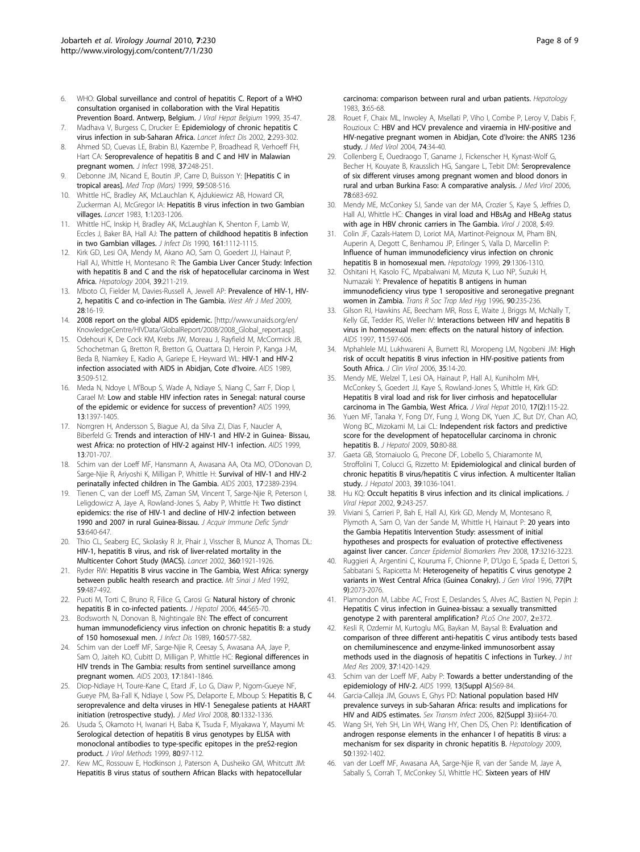- <span id="page-7-0"></span>6. WHO: Global surveillance and control of hepatitis C. Report of a WHO consultation organised in collaboration with the Viral Hepatitis Prevention Board. Antwerp, Belgium. J Viral Hepat Belgium 1999, 35-47.
- 7. Madhava V, Burgess C, Drucker E: [Epidemiology of chronic hepatitis C](http://www.ncbi.nlm.nih.gov/pubmed/12062995?dopt=Abstract) [virus infection in sub-Saharan Africa.](http://www.ncbi.nlm.nih.gov/pubmed/12062995?dopt=Abstract) Lancet Infect Dis 2002, 2:293-302.
- 8. Ahmed SD, Cuevas LE, Brabin BJ, Kazembe P, Broadhead R, Verhoeff FH, Hart CA: [Seroprevalence of hepatitis B and C and HIV in Malawian](http://www.ncbi.nlm.nih.gov/pubmed/9892528?dopt=Abstract) [pregnant women.](http://www.ncbi.nlm.nih.gov/pubmed/9892528?dopt=Abstract) J Infect 1998, 37:248-251.
- Debonne JM, Nicand E, Boutin JP, Carre D, Buisson Y: [\[Hepatitis C in](http://www.ncbi.nlm.nih.gov/pubmed/10901856?dopt=Abstract) [tropical areas\].](http://www.ncbi.nlm.nih.gov/pubmed/10901856?dopt=Abstract) Med Trop (Mars) 1999, 59:508-516.
- 10. Whittle HC, Bradley AK, McLauchlan K, Ajdukiewicz AB, Howard CR, Zuckerman AJ, McGregor IA: [Hepatitis B virus infection in two Gambian](http://www.ncbi.nlm.nih.gov/pubmed/6133999?dopt=Abstract) [villages.](http://www.ncbi.nlm.nih.gov/pubmed/6133999?dopt=Abstract) Lancet 1983, 1:1203-1206.
- 11. Whittle HC, Inskip H, Bradley AK, McLaughlan K, Shenton F, Lamb W, Eccles J, Baker BA, Hall AJ: [The pattern of childhood hepatitis B infection](http://www.ncbi.nlm.nih.gov/pubmed/2345294?dopt=Abstract) [in two Gambian villages.](http://www.ncbi.nlm.nih.gov/pubmed/2345294?dopt=Abstract) J Infect Dis 1990, 161:1112-1115.
- 12. Kirk GD, Lesi OA, Mendy M, Akano AO, Sam O, Goedert JJ, Hainaut P, Hall AJ, Whittle H, Montesano R: [The Gambia Liver Cancer Study: Infection](http://www.ncbi.nlm.nih.gov/pubmed/14752840?dopt=Abstract) [with hepatitis B and C and the risk of hepatocellular carcinoma in West](http://www.ncbi.nlm.nih.gov/pubmed/14752840?dopt=Abstract) [Africa.](http://www.ncbi.nlm.nih.gov/pubmed/14752840?dopt=Abstract) Hepatology 2004, 39:211-219.
- 13. Mboto CI, Fielder M, Davies-Russell A, Jewell AP: [Prevalence of HIV-1, HIV-](http://www.ncbi.nlm.nih.gov/pubmed/19662739?dopt=Abstract)[2, hepatitis C and co-infection in The Gambia.](http://www.ncbi.nlm.nih.gov/pubmed/19662739?dopt=Abstract) West Afr J Med 2009, 28:16-19.
- 14. 2008 report on the global AIDS epidemic. [[http://www.unaids.org/en/](http://www.unaids.org/en/KnowledgeCentre/HIVData/GlobalReport/2008/2008_Global_report.asp) [KnowledgeCentre/HIVData/GlobalReport/2008/2008\\_Global\\_report.asp](http://www.unaids.org/en/KnowledgeCentre/HIVData/GlobalReport/2008/2008_Global_report.asp)].
- 15. Odehouri K, De Cock KM, Krebs JW, Moreau J, Rayfield M, McCormick JB, Schochetman G, Bretton R, Bretton G, Ouattara D, Heroin P, Kanga J-M, Beda B, Niamkey E, Kadio A, Gariepe E, Heyward WL: [HIV-1 and HIV-2](http://www.ncbi.nlm.nih.gov/pubmed/2508711?dopt=Abstract) [infection associated with AIDS in Abidjan, Cote d](http://www.ncbi.nlm.nih.gov/pubmed/2508711?dopt=Abstract)'Ivoire. AIDS 1989, 3:509-512.
- 16. Meda N, Ndoye I, M'Boup S, Wade A, Ndiaye S, Niang C, Sarr F, Diop I, Carael M: [Low and stable HIV infection rates in Senegal: natural course](http://www.ncbi.nlm.nih.gov/pubmed/10449294?dopt=Abstract) [of the epidemic or evidence for success of prevention?](http://www.ncbi.nlm.nih.gov/pubmed/10449294?dopt=Abstract) AIDS 1999, 13:1397-1405.
- 17. Norrgren H, Andersson S, Biague AJ, da Silva ZJ, Dias F, Naucler A, Biberfeld G: [Trends and interaction of HIV-1 and HIV-2 in Guinea- Bissau,](http://www.ncbi.nlm.nih.gov/pubmed/10397565?dopt=Abstract) [west Africa: no protection of HIV-2 against HIV-1 infection.](http://www.ncbi.nlm.nih.gov/pubmed/10397565?dopt=Abstract) AIDS 1999, 13:701-707.
- 18. Schim van der Loeff MF, Hansmann A, Awasana AA, Ota MO, O'Donovan D, Sarge-Njie R, Ariyoshi K, Milligan P, Whittle H: [Survival of HIV-1 and HIV-2](http://www.ncbi.nlm.nih.gov/pubmed/14571192?dopt=Abstract) [perinatally infected children in The Gambia.](http://www.ncbi.nlm.nih.gov/pubmed/14571192?dopt=Abstract) AIDS 2003, 17:2389-2394.
- Tienen C, van der Loeff MS, Zaman SM, Vincent T, Sarge-Njie R, Peterson I, Leligdowicz A, Jaye A, Rowland-Jones S, Aaby P, Whittle H: [Two distinct](http://www.ncbi.nlm.nih.gov/pubmed/19841588?dopt=Abstract) [epidemics: the rise of HIV-1 and decline of HIV-2 infection between](http://www.ncbi.nlm.nih.gov/pubmed/19841588?dopt=Abstract) [1990 and 2007 in rural Guinea-Bissau.](http://www.ncbi.nlm.nih.gov/pubmed/19841588?dopt=Abstract) J Acquir Immune Defic Syndr 53:640-647.
- 20. Thio CL, Seaberg EC, Skolasky R Jr, Phair J, Visscher B, Munoz A, Thomas DL: [HIV-1, hepatitis B virus, and risk of liver-related mortality in the](http://www.ncbi.nlm.nih.gov/pubmed/12493258?dopt=Abstract) [Multicenter Cohort Study \(MACS\).](http://www.ncbi.nlm.nih.gov/pubmed/12493258?dopt=Abstract) Lancet 2002, 360:1921-1926.
- 21. Ryder RW: [Hepatitis B virus vaccine in The Gambia, West Africa: synergy](http://www.ncbi.nlm.nih.gov/pubmed/1336128?dopt=Abstract) [between public health research and practice.](http://www.ncbi.nlm.nih.gov/pubmed/1336128?dopt=Abstract) Mt Sinai J Med 1992, 59:487-492.
- 22. Puoti M, Torti C, Bruno R, Filice G, Carosi G: [Natural history of chronic](http://www.ncbi.nlm.nih.gov/pubmed/16338021?dopt=Abstract) [hepatitis B in co-infected patients.](http://www.ncbi.nlm.nih.gov/pubmed/16338021?dopt=Abstract) J Hepatol 2006, 44:S65-70.
- 23. Bodsworth N, Donovan B, Nightingale BN: [The effect of concurrent](http://www.ncbi.nlm.nih.gov/pubmed/2571646?dopt=Abstract) [human immunodeficiency virus infection on chronic hepatitis B: a study](http://www.ncbi.nlm.nih.gov/pubmed/2571646?dopt=Abstract) [of 150 homosexual men.](http://www.ncbi.nlm.nih.gov/pubmed/2571646?dopt=Abstract) J Infect Dis 1989, 160:577-582.
- 24. Schim van der Loeff MF, Sarge-Njie R, Ceesay S, Awasana AA, Jaye P, Sam O, Jaiteh KO, Cubitt D, Milligan P, Whittle HC: [Regional differences in](http://www.ncbi.nlm.nih.gov/pubmed/12891071?dopt=Abstract) [HIV trends in The Gambia: results from sentinel surveillance among](http://www.ncbi.nlm.nih.gov/pubmed/12891071?dopt=Abstract) [pregnant women.](http://www.ncbi.nlm.nih.gov/pubmed/12891071?dopt=Abstract) AIDS 2003, 17:1841-1846.
- 25. Diop-Ndiaye H, Toure-Kane C, Etard JF, Lo G, Diaw P, Ngom-Gueye NF, Gueye PM, Ba-Fall K, Ndiaye I, Sow PS, Delaporte E, Mboup S: [Hepatitis B, C](http://www.ncbi.nlm.nih.gov/pubmed/18551596?dopt=Abstract) [seroprevalence and delta viruses in HIV-1 Senegalese patients at HAART](http://www.ncbi.nlm.nih.gov/pubmed/18551596?dopt=Abstract) [initiation \(retrospective study\).](http://www.ncbi.nlm.nih.gov/pubmed/18551596?dopt=Abstract) J Med Virol 2008, 80:1332-1336.
- 26. Usuda S, Okamoto H, Iwanari H, Baba K, Tsuda F, Miyakawa Y, Mayumi M: [Serological detection of hepatitis B virus genotypes by ELISA with](http://www.ncbi.nlm.nih.gov/pubmed/10403681?dopt=Abstract) [monoclonal antibodies to type-specific epitopes in the preS2-region](http://www.ncbi.nlm.nih.gov/pubmed/10403681?dopt=Abstract) [product.](http://www.ncbi.nlm.nih.gov/pubmed/10403681?dopt=Abstract) J Virol Methods 1999, 80:97-112.
- 27. Kew MC, Rossouw E, Hodkinson J, Paterson A, Dusheiko GM, Whitcutt JM: [Hepatitis B virus status of southern African Blacks with hepatocellular](http://www.ncbi.nlm.nih.gov/pubmed/6295908?dopt=Abstract)

[carcinoma: comparison between rural and urban patients.](http://www.ncbi.nlm.nih.gov/pubmed/6295908?dopt=Abstract) Hepatology 1983, 3:65-68.

- 28. Rouet F, Chaix ML, Inwoley A, Msellati P, Viho I, Combe P, Leroy V, Dabis F, Rouzioux C: [HBV and HCV prevalence and viraemia in HIV-positive and](http://www.ncbi.nlm.nih.gov/pubmed/15258966?dopt=Abstract) [HIV-negative pregnant women in Abidjan, Cote d](http://www.ncbi.nlm.nih.gov/pubmed/15258966?dopt=Abstract)'Ivoire: the ANRS 1236 [study.](http://www.ncbi.nlm.nih.gov/pubmed/15258966?dopt=Abstract) J Med Virol 2004, **74**:34-40.
- 29. Collenberg E, Ouedraogo T, Ganame J, Fickenscher H, Kynast-Wolf G, Becher H, Kouyate B, Krausslich HG, Sangare L, Tebit DM: [Seroprevalence](http://www.ncbi.nlm.nih.gov/pubmed/16555290?dopt=Abstract) [of six different viruses among pregnant women and blood donors in](http://www.ncbi.nlm.nih.gov/pubmed/16555290?dopt=Abstract) [rural and urban Burkina Faso: A comparative analysis.](http://www.ncbi.nlm.nih.gov/pubmed/16555290?dopt=Abstract) J Med Virol 2006, 78:683-692.
- 30. Mendy ME, McConkey SJ, Sande van der MA, Crozier S, Kaye S, Jeffries D, Hall AJ, Whittle HC: [Changes in viral load and HBsAg and HBeAg status](http://www.ncbi.nlm.nih.gov/pubmed/18416832?dopt=Abstract) [with age in HBV chronic carriers in The Gambia.](http://www.ncbi.nlm.nih.gov/pubmed/18416832?dopt=Abstract) Virol J 2008, 5:49.
- 31. Colin JF, Cazals-Hatem D, Loriot MA, Martinot-Peignoux M, Pham BN, Auperin A, Degott C, Benhamou JP, Erlinger S, Valla D, Marcellin P: [Influence of human immunodeficiency virus infection on chronic](http://www.ncbi.nlm.nih.gov/pubmed/10094979?dopt=Abstract) [hepatitis B in homosexual men.](http://www.ncbi.nlm.nih.gov/pubmed/10094979?dopt=Abstract) Hepatology 1999, 29:1306-1310.
- Oshitani H, Kasolo FC, Mpabalwani M, Mizuta K, Luo NP, Suzuki H, Numazaki Y: [Prevalence of hepatitis B antigens in human](http://www.ncbi.nlm.nih.gov/pubmed/8758060?dopt=Abstract) [immunodeficiency virus type 1 seropositive and seronegative pregnant](http://www.ncbi.nlm.nih.gov/pubmed/8758060?dopt=Abstract) [women in Zambia.](http://www.ncbi.nlm.nih.gov/pubmed/8758060?dopt=Abstract) Trans R Soc Trop Med Hyg 1996, 90:235-236.
- 33. Gilson RJ, Hawkins AE, Beecham MR, Ross E, Waite J, Briggs M, McNally T, Kelly GE, Tedder RS, Weller IV: [Interactions between HIV and hepatitis B](http://www.ncbi.nlm.nih.gov/pubmed/9108941?dopt=Abstract) [virus in homosexual men: effects on the natural history of infection.](http://www.ncbi.nlm.nih.gov/pubmed/9108941?dopt=Abstract) AIDS 1997, 11:597-606.
- 34. Mphahlele MJ, Lukhwareni A, Burnett RJ, Moropeng LM, Ngobeni JM: [High](http://www.ncbi.nlm.nih.gov/pubmed/15916918?dopt=Abstract) [risk of occult hepatitis B virus infection in HIV-positive patients from](http://www.ncbi.nlm.nih.gov/pubmed/15916918?dopt=Abstract) [South Africa.](http://www.ncbi.nlm.nih.gov/pubmed/15916918?dopt=Abstract) J Clin Virol 2006, 35:14-20.
- 35. Mendy ME, Welzel T, Lesi OA, Hainaut P, Hall AJ, Kuniholm MH, McConkey S, Goedert JJ, Kaye S, Rowland-Jones S, Whittle H, Kirk GD: [Hepatitis B viral load and risk for liver cirrhosis and hepatocellular](http://www.ncbi.nlm.nih.gov/pubmed/19874478?dopt=Abstract) [carcinoma in The Gambia, West Africa.](http://www.ncbi.nlm.nih.gov/pubmed/19874478?dopt=Abstract) J Viral Hepat 2010, 17(2):115-22.
- 36. Yuen MF, Tanaka Y, Fong DY, Fung J, Wong DK, Yuen JC, But DY, Chan AO, Wong BC, Mizokami M, Lai CL: [Independent risk factors and predictive](http://www.ncbi.nlm.nih.gov/pubmed/18977053?dopt=Abstract) [score for the development of hepatocellular carcinoma in chronic](http://www.ncbi.nlm.nih.gov/pubmed/18977053?dopt=Abstract) [hepatitis B.](http://www.ncbi.nlm.nih.gov/pubmed/18977053?dopt=Abstract) J Hepatol 2009, 50:80-88.
- 37. Gaeta GB, Stornaiuolo G, Precone DF, Lobello S, Chiaramonte M, Stroffolini T, Colucci G, Rizzetto M: [Epidemiological and clinical burden of](http://www.ncbi.nlm.nih.gov/pubmed/14642623?dopt=Abstract) [chronic hepatitis B virus/hepatitis C virus infection. A multicenter Italian](http://www.ncbi.nlm.nih.gov/pubmed/14642623?dopt=Abstract) [study.](http://www.ncbi.nlm.nih.gov/pubmed/14642623?dopt=Abstract) J Hepatol 2003, 39:1036-1041.
- Hu KQ: [Occult hepatitis B virus infection and its clinical implications.](http://www.ncbi.nlm.nih.gov/pubmed/12081601?dopt=Abstract) J Viral Hepat 2002, 9:243-257.
- 39. Viviani S, Carrieri P, Bah E, Hall AJ, Kirk GD, Mendy M, Montesano R, Plymoth A, Sam O, Van der Sande M, Whittle H, Hainaut P: [20 years into](http://www.ncbi.nlm.nih.gov/pubmed/18990765?dopt=Abstract) [the Gambia Hepatitis Intervention Study: assessment of initial](http://www.ncbi.nlm.nih.gov/pubmed/18990765?dopt=Abstract) [hypotheses and prospects for evaluation of protective effectiveness](http://www.ncbi.nlm.nih.gov/pubmed/18990765?dopt=Abstract) [against liver cancer.](http://www.ncbi.nlm.nih.gov/pubmed/18990765?dopt=Abstract) Cancer Epidemiol Biomarkers Prev 2008, 17:3216-3223.
- 40. Ruggieri A, Argentini C, Kouruma F, Chionne P, D'Ugo E, Spada E, Dettori S, Sabbatani S, Rapicetta M: [Heterogeneity of hepatitis C virus genotype 2](http://www.ncbi.nlm.nih.gov/pubmed/8811005?dopt=Abstract) [variants in West Central Africa \(Guinea Conakry\).](http://www.ncbi.nlm.nih.gov/pubmed/8811005?dopt=Abstract) J Gen Virol 1996, 77(Pt 9):2073-2076.
- 41. Plamondon M, Labbe AC, Frost E, Deslandes S, Alves AC, Bastien N, Pepin J: [Hepatitis C virus infection in Guinea-bissau: a sexually transmitted](http://www.ncbi.nlm.nih.gov/pubmed/17440608?dopt=Abstract) [genotype 2 with parenteral amplification?](http://www.ncbi.nlm.nih.gov/pubmed/17440608?dopt=Abstract) PLoS One 2007, 2:e372.
- 42. Kesli R, Ozdemir M, Kurtoglu MG, Baykan M, Baysal B: [Evaluation and](http://www.ncbi.nlm.nih.gov/pubmed/19930846?dopt=Abstract) [comparison of three different anti-hepatitis C virus antibody tests based](http://www.ncbi.nlm.nih.gov/pubmed/19930846?dopt=Abstract) [on chemiluminescence and enzyme-linked immunosorbent assay](http://www.ncbi.nlm.nih.gov/pubmed/19930846?dopt=Abstract) [methods used in the diagnosis of hepatitis C infections in Turkey.](http://www.ncbi.nlm.nih.gov/pubmed/19930846?dopt=Abstract) J Int Med Res 2009, 37:1420-1429.
- 43. Schim van der Loeff MF, Aaby P: [Towards a better understanding of the](http://www.ncbi.nlm.nih.gov/pubmed/10885765?dopt=Abstract) [epidemiology of HIV-2.](http://www.ncbi.nlm.nih.gov/pubmed/10885765?dopt=Abstract) AIDS 1999, 13(Suppl A):S69-84.
- 44. Garcia-Calleja JM, Gouws E, Ghys PD: [National population based HIV](http://www.ncbi.nlm.nih.gov/pubmed/16735296?dopt=Abstract) [prevalence surveys in sub-Saharan Africa: results and implications for](http://www.ncbi.nlm.nih.gov/pubmed/16735296?dopt=Abstract) [HIV and AIDS estimates.](http://www.ncbi.nlm.nih.gov/pubmed/16735296?dopt=Abstract) Sex Transm Infect 2006, 82(Suppl 3):iii64-70.
- 45. Wang SH, Yeh SH, Lin WH, Wang HY, Chen DS, Chen PJ: [Identification of](http://www.ncbi.nlm.nih.gov/pubmed/19670412?dopt=Abstract) [androgen response elements in the enhancer I of hepatitis B virus: a](http://www.ncbi.nlm.nih.gov/pubmed/19670412?dopt=Abstract) [mechanism for sex disparity in chronic hepatitis B.](http://www.ncbi.nlm.nih.gov/pubmed/19670412?dopt=Abstract) Hepatology 2009, 50:1392-1402.
- 46. van der Loeff MF, Awasana AA, Sarge-Njie R, van der Sande M, Jaye A, Sabally S, Corrah T, McConkey SJ, Whittle HC: [Sixteen years of HIV](http://www.ncbi.nlm.nih.gov/pubmed/16543363?dopt=Abstract)